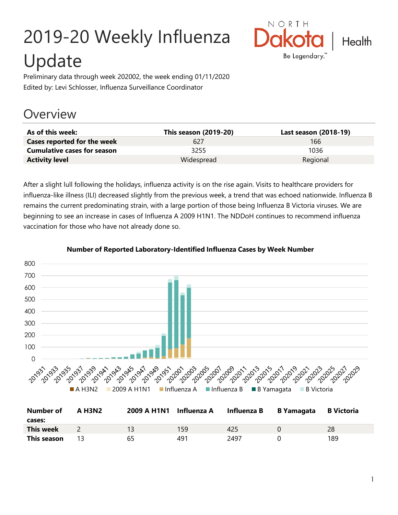# 2019-20 Weekly Influenza Update



Preliminary data through week 202002, the week ending 01/11/2020 Edited by: Levi Schlosser, Influenza Surveillance Coordinator

## **Overview**

| As of this week:                   | <b>This season (2019-20)</b> | Last season (2018-19) |
|------------------------------------|------------------------------|-----------------------|
| Cases reported for the week        | 627                          | 166                   |
| <b>Cumulative cases for season</b> | 3255                         | 1036                  |
| <b>Activity level</b>              | Widespread                   | Regional              |

After a slight lull following the holidays, influenza activity is on the rise again. Visits to healthcare providers for influenza-like illness (ILI) decreased slightly from the previous week, a trend that was echoed nationwide. Influenza B remains the current predominating strain, with a large portion of those being Influenza B Victoria viruses. We are beginning to see an increase in cases of Influenza A 2009 H1N1. The NDDoH continues to recommend influenza vaccination for those who have not already done so.



#### **Number of Reported Laboratory-Identified Influenza Cases by Week Number**

| <b>Number of</b><br>cases: | A H3N2 | 2009 A H1N1 Influenza A |     | Influenza B | B Yamagata | <b>B</b> Victoria |
|----------------------------|--------|-------------------------|-----|-------------|------------|-------------------|
| <b>This week</b>           |        |                         | 159 | 425         |            | 28                |
| This season                |        | 65                      | 491 | 2497        |            | 189               |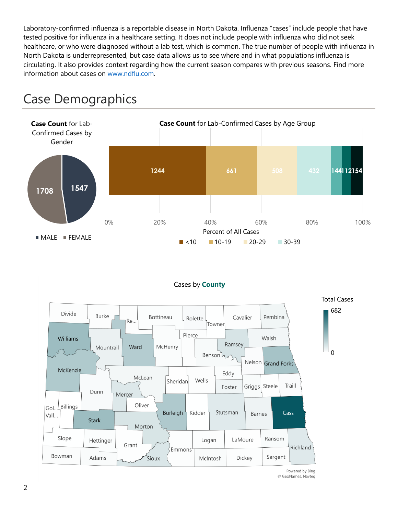Laboratory-confirmed influenza is a reportable disease in North Dakota. Influenza "cases" include people that have tested positive for influenza in a healthcare setting. It does not include people with influenza who did not seek healthcare, or who were diagnosed without a lab test, which is common. The true number of people with influenza in North Dakota is underrepresented, but case data allows us to see where and in what populations influenza is circulating. It also provides context regarding how the current season compares with previous seasons. Find more information about cases on [www.ndflu.com.](file://///nd.gov/doh/DOH-DATA/MSS/DC/PROGRAM/IMMUNE/Immunize/Influenza/Inf18-19/Surveillance/Weekly%20Summaries/www.ndflu.com)



# Case Demographics



<sup>©</sup> GeoNames, Navteq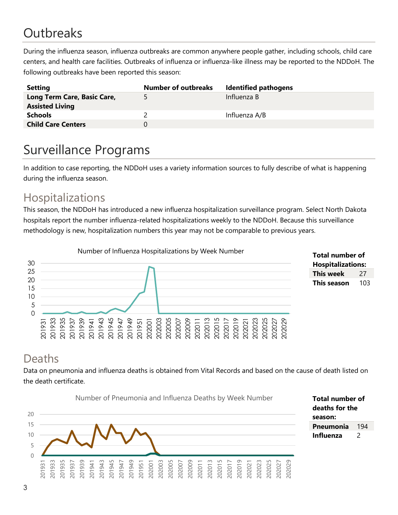# **Outbreaks**

During the influenza season, influenza outbreaks are common anywhere people gather, including schools, child care centers, and health care facilities. Outbreaks of influenza or influenza-like illness may be reported to the NDDoH. The following outbreaks have been reported this season:

| <b>Setting</b>              | <b>Number of outbreaks</b> | <b>Identified pathogens</b> |
|-----------------------------|----------------------------|-----------------------------|
| Long Term Care, Basic Care, | 5.                         | Influenza B                 |
| <b>Assisted Living</b>      |                            |                             |
| <b>Schools</b>              |                            | Influenza A/B               |
| <b>Child Care Centers</b>   | $^{(1)}$                   |                             |

# Surveillance Programs

In addition to case reporting, the NDDoH uses a variety information sources to fully describe of what is happening during the influenza season.

#### Hospitalizations

This season, the NDDoH has introduced a new influenza hospitalization surveillance program. Select North Dakota hospitals report the number influenza-related hospitalizations weekly to the NDDoH. Because this surveillance methodology is new, hospitalization numbers this year may not be comparable to previous years.





#### Deaths

Data on pneumonia and influenza deaths is obtained from Vital Records and based on the cause of death listed on the death certificate.

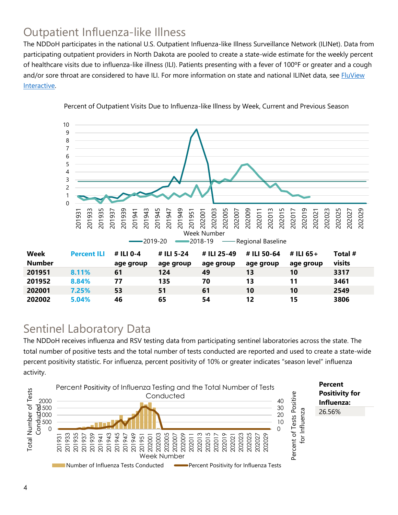### Outpatient Influenza-like Illness

The NDDoH participates in the national U.S. Outpatient Influenza-like Illness Surveillance Network (ILINet). Data from participating outpatient providers in North Dakota are pooled to create a state-wide estimate for the weekly percent of healthcare visits due to influenza-like illness (ILI). Patients presenting with a fever of 100ºF or greater and a cough and/or sore throat are considered to have ILI. For more information on state and national ILINet data, see **FluView** [Interactive.](https://gis.cdc.gov/grasp/fluview/fluportaldashboard.html)



Percent of Outpatient Visits Due to Influenza-like Illness by Week, Current and Previous Season

#### Sentinel Laboratory Data

The NDDoH receives influenza and RSV testing data from participating sentinel laboratories across the state. The total number of positive tests and the total number of tests conducted are reported and used to create a state-wide percent positivity statistic. For influenza, percent positivity of 10% or greater indicates "season level" influenza activity.

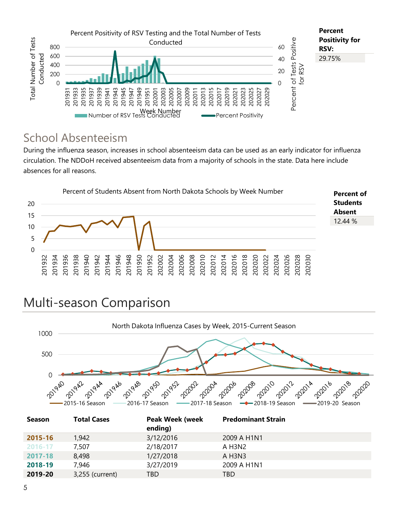

#### School Absenteeism

During the influenza season, increases in school absenteeism data can be used as an early indicator for influenza circulation. The NDDoH received absenteeism data from a majority of schools in the state. Data here include absences for all reasons.



# Multi-season Comparison